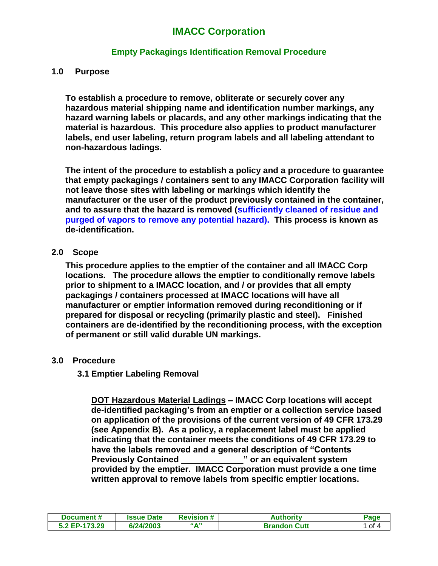# **IMACC Corporation**

## **Empty Packagings Identification Removal Procedure**

#### **1.0 Purpose**

**To establish a procedure to remove, obliterate or securely cover any hazardous material shipping name and identification number markings, any hazard warning labels or placards, and any other markings indicating that the material is hazardous. This procedure also applies to product manufacturer labels, end user labeling, return program labels and all labeling attendant to non-hazardous ladings.**

**The intent of the procedure to establish a policy and a procedure to guarantee that empty packagings / containers sent to any IMACC Corporation facility will not leave those sites with labeling or markings which identify the manufacturer or the user of the product previously contained in the container, and to assure that the hazard is removed (sufficiently cleaned of residue and purged of vapors to remove any potential hazard). This process is known as de-identification.**

#### **2.0 Scope**

**This procedure applies to the emptier of the container and all IMACC Corp locations. The procedure allows the emptier to conditionally remove labels prior to shipment to a IMACC location, and / or provides that all empty packagings / containers processed at IMACC locations will have all manufacturer or emptier information removed during reconditioning or if prepared for disposal or recycling (primarily plastic and steel). Finished containers are de-identified by the reconditioning process, with the exception of permanent or still valid durable UN markings.** 

### **3.0 Procedure**

### **3.1 Emptier Labeling Removal**

**DOT Hazardous Material Ladings – IMACC Corp locations will accept de-identified packaging's from an emptier or a collection service based on application of the provisions of the current version of 49 CFR 173.29 (see Appendix B). As a policy, a replacement label must be applied indicating that the container meets the conditions of 49 CFR 173.29 to have the labels removed and a general description of "Contents Previously Contained \_\_\_\_\_\_\_\_\_\_\_\_\_" or an equivalent system provided by the emptier. IMACC Corporation must provide a one time written approval to remove labels from specific emptier locations.**

| Document #    | <b>Issue Date</b> | <b>Revision #</b>        | Authoritv           | Page   |
|---------------|-------------------|--------------------------|---------------------|--------|
| 5.2 EP-173.29 | 6/24/2003         | <b><i><u>"A"</u></i></b> | <b>Brandon Cutt</b> | 1 of 4 |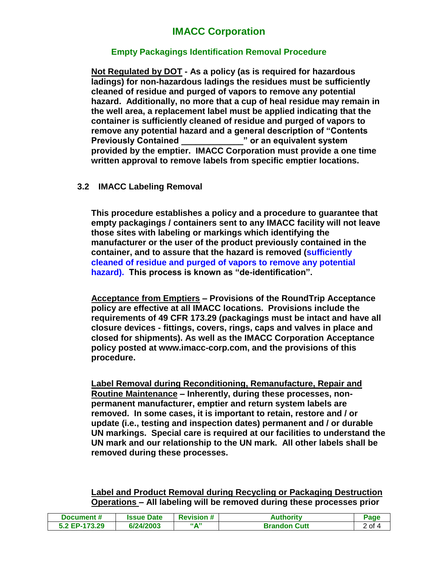# **IMACC Corporation**

## **Empty Packagings Identification Removal Procedure**

**Not Regulated by DOT - As a policy (as is required for hazardous ladings) for non-hazardous ladings the residues must be sufficiently cleaned of residue and purged of vapors to remove any potential hazard. Additionally, no more that a cup of heal residue may remain in the well area, a replacement label must be applied indicating that the container is sufficiently cleaned of residue and purged of vapors to remove any potential hazard and a general description of "Contents Previously Contained \_\_\_\_\_\_\_\_\_\_\_\_\_" or an equivalent system provided by the emptier. IMACC Corporation must provide a one time written approval to remove labels from specific emptier locations.**

### **3.2 IMACC Labeling Removal**

**This procedure establishes a policy and a procedure to guarantee that empty packagings / containers sent to any IMACC facility will not leave those sites with labeling or markings which identifying the manufacturer or the user of the product previously contained in the container, and to assure that the hazard is removed (sufficiently cleaned of residue and purged of vapors to remove any potential hazard). This process is known as "de-identification".**

**Acceptance from Emptiers – Provisions of the RoundTrip Acceptance policy are effective at all IMACC locations. Provisions include the requirements of 49 CFR 173.29 (packagings must be intact and have all closure devices - fittings, covers, rings, caps and valves in place and closed for shipments). As well as the IMACC Corporation Acceptance policy posted at www.imacc-corp.com, and the provisions of this procedure.**

**Label Removal during Reconditioning, Remanufacture, Repair and Routine Maintenance – Inherently, during these processes, nonpermanent manufacturer, emptier and return system labels are removed. In some cases, it is important to retain, restore and / or update (i.e., testing and inspection dates) permanent and / or durable UN markings. Special care is required at our facilities to understand the UN mark and our relationship to the UN mark. All other labels shall be removed during these processes.** 

**Label and Product Removal during Recycling or Packaging Destruction Operations – All labeling will be removed during these processes prior** 

| Document #    | <b>Issue Date</b> | <b>Revision #</b>        | Authoritv           | Page   |
|---------------|-------------------|--------------------------|---------------------|--------|
| 5.2 EP-173.29 | 6/24/2003         | <b><i><u>"A"</u></i></b> | <b>Brandon Cutt</b> | 2 of 4 |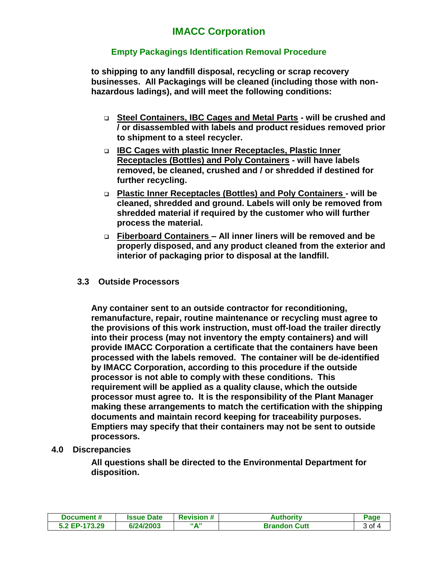## **Empty Packagings Identification Removal Procedure**

**to shipping to any landfill disposal, recycling or scrap recovery businesses. All Packagings will be cleaned (including those with nonhazardous ladings), and will meet the following conditions:**

- **Steel Containers, IBC Cages and Metal Parts - will be crushed and / or disassembled with labels and product residues removed prior to shipment to a steel recycler.**
- **IBC Cages with plastic Inner Receptacles, Plastic Inner Receptacles (Bottles) and Poly Containers - will have labels removed, be cleaned, crushed and / or shredded if destined for further recycling.**
- **Plastic Inner Receptacles (Bottles) and Poly Containers - will be cleaned, shredded and ground. Labels will only be removed from shredded material if required by the customer who will further process the material.**
- **Fiberboard Containers – All inner liners will be removed and be properly disposed, and any product cleaned from the exterior and interior of packaging prior to disposal at the landfill.**

### **3.3 Outside Processors**

**Any container sent to an outside contractor for reconditioning, remanufacture, repair, routine maintenance or recycling must agree to the provisions of this work instruction, must off-load the trailer directly into their process (may not inventory the empty containers) and will provide IMACC Corporation a certificate that the containers have been processed with the labels removed. The container will be de-identified by IMACC Corporation, according to this procedure if the outside processor is not able to comply with these conditions. This requirement will be applied as a quality clause, which the outside processor must agree to. It is the responsibility of the Plant Manager making these arrangements to match the certification with the shipping documents and maintain record keeping for traceability purposes. Emptiers may specify that their containers may not be sent to outside processors.** 

## **4.0 Discrepancies**

**All questions shall be directed to the Environmental Department for disposition.**

| Document #    | <b>Issue Date</b> | <b>Revision #</b>        | Authoritv           | Page   |
|---------------|-------------------|--------------------------|---------------------|--------|
| 5.2 EP-173.29 | 6/24/2003         | <b><i><u>"A"</u></i></b> | <b>Brandon Cutt</b> | 3 of 4 |